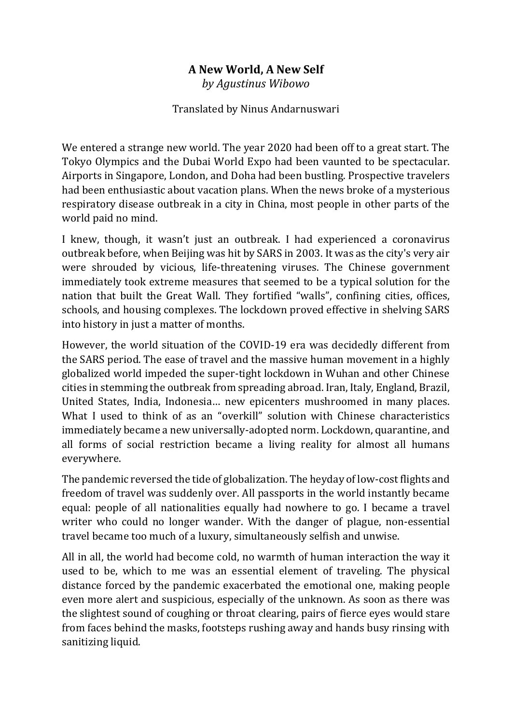## **A New World, A New Self**

*by Agustinus Wibowo*

## Translated by Ninus Andarnuswari

We entered a strange new world. The year 2020 had been off to a great start. The Tokyo Olympics and the Dubai World Expo had been vaunted to be spectacular. Airports in Singapore, London, and Doha had been bustling. Prospective travelers had been enthusiastic about vacation plans. When the news broke of a mysterious respiratory disease outbreak in a city in China, most people in other parts of the world paid no mind.

I knew, though, it wasn't just an outbreak. I had experienced a coronavirus outbreak before, when Beijing was hit by SARS in 2003. It was as the city's very air were shrouded by vicious, life-threatening viruses. The Chinese government immediately took extreme measures that seemed to be a typical solution for the nation that built the Great Wall. They fortified "walls", confining cities, offices, schools, and housing complexes. The lockdown proved effective in shelving SARS into history in just a matter of months.

However, the world situation of the COVID-19 era was decidedly different from the SARS period. The ease of travel and the massive human movement in a highly globalized world impeded the super-tight lockdown in Wuhan and other Chinese cities in stemming the outbreak from spreading abroad. Iran, Italy, England, Brazil, United States, India, Indonesia… new epicenters mushroomed in many places. What I used to think of as an "overkill" solution with Chinese characteristics immediately became a new universally-adopted norm. Lockdown, quarantine, and all forms of social restriction became a living reality for almost all humans everywhere.

The pandemic reversed the tide of globalization. The heyday of low-cost flights and freedom of travel was suddenly over. All passports in the world instantly became equal: people of all nationalities equally had nowhere to go. I became a travel writer who could no longer wander. With the danger of plague, non-essential travel became too much of a luxury, simultaneously selfish and unwise.

All in all, the world had become cold, no warmth of human interaction the way it used to be, which to me was an essential element of traveling. The physical distance forced by the pandemic exacerbated the emotional one, making people even more alert and suspicious, especially of the unknown. As soon as there was the slightest sound of coughing or throat clearing, pairs of fierce eyes would stare from faces behind the masks, footsteps rushing away and hands busy rinsing with sanitizing liquid.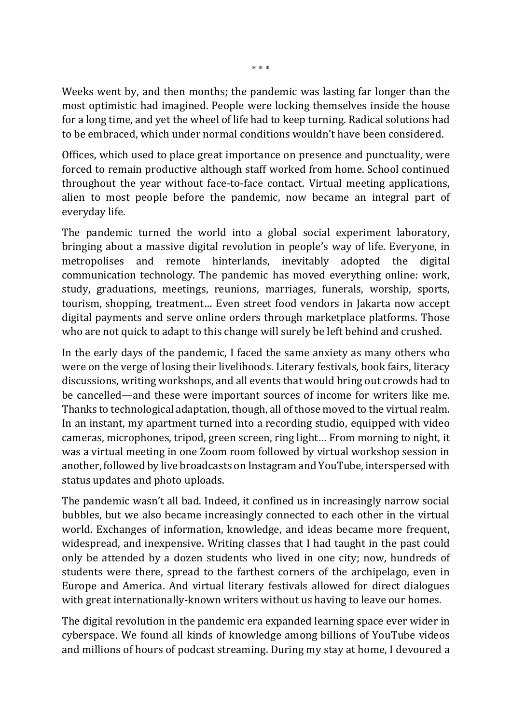Weeks went by, and then months; the pandemic was lasting far longer than the most optimistic had imagined. People were locking themselves inside the house for a long time, and yet the wheel of life had to keep turning. Radical solutions had to be embraced, which under normal conditions wouldn't have been considered.

Offices, which used to place great importance on presence and punctuality, were forced to remain productive although staff worked from home. School continued throughout the year without face-to-face contact. Virtual meeting applications, alien to most people before the pandemic, now became an integral part of everyday life.

The pandemic turned the world into a global social experiment laboratory, bringing about a massive digital revolution in people's way of life. Everyone, in metropolises and remote hinterlands, inevitably adopted the digital communication technology. The pandemic has moved everything online: work, study, graduations, meetings, reunions, marriages, funerals, worship, sports, tourism, shopping, treatment… Even street food vendors in Jakarta now accept digital payments and serve online orders through marketplace platforms. Those who are not quick to adapt to this change will surely be left behind and crushed.

In the early days of the pandemic, I faced the same anxiety as many others who were on the verge of losing their livelihoods. Literary festivals, book fairs, literacy discussions, writing workshops, and all events that would bring out crowds had to be cancelled—and these were important sources of income for writers like me. Thanks to technological adaptation, though, all of those moved to the virtual realm. In an instant, my apartment turned into a recording studio, equipped with video cameras, microphones, tripod, green screen, ring light… From morning to night, it was a virtual meeting in one Zoom room followed by virtual workshop session in another, followed by live broadcasts on Instagram and YouTube, interspersed with status updates and photo uploads.

The pandemic wasn't all bad. Indeed, it confined us in increasingly narrow social bubbles, but we also became increasingly connected to each other in the virtual world. Exchanges of information, knowledge, and ideas became more frequent, widespread, and inexpensive. Writing classes that I had taught in the past could only be attended by a dozen students who lived in one city; now, hundreds of students were there, spread to the farthest corners of the archipelago, even in Europe and America. And virtual literary festivals allowed for direct dialogues with great internationally-known writers without us having to leave our homes.

The digital revolution in the pandemic era expanded learning space ever wider in cyberspace. We found all kinds of knowledge among billions of YouTube videos and millions of hours of podcast streaming. During my stay at home, I devoured a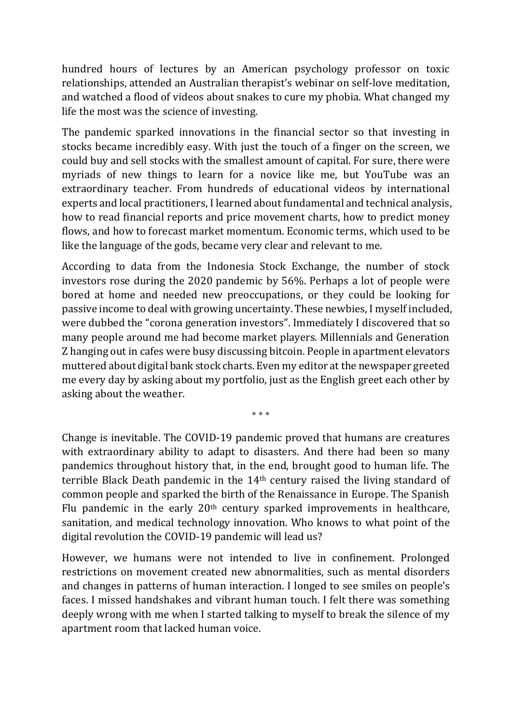hundred hours of lectures by an American psychology professor on toxic relationships, attended an Australian therapist's webinar on self-love meditation, and watched a flood of videos about snakes to cure my phobia. What changed my life the most was the science of investing.

The pandemic sparked innovations in the financial sector so that investing in stocks became incredibly easy. With just the touch of a finger on the screen, we could buy and sell stocks with the smallest amount of capital. For sure, there were myriads of new things to learn for a novice like me, but YouTube was an extraordinary teacher. From hundreds of educational videos by international experts and local practitioners, I learned about fundamental and technical analysis, how to read financial reports and price movement charts, how to predict money flows, and how to forecast market momentum. Economic terms, which used to be like the language of the gods, became very clear and relevant to me.

According to data from the Indonesia Stock Exchange, the number of stock investors rose during the 2020 pandemic by 56%. Perhaps a lot of people were bored at home and needed new preoccupations, or they could be looking for passive income to deal with growing uncertainty. These newbies, I myself included, were dubbed the "corona generation investors". Immediately I discovered that so many people around me had become market players. Millennials and Generation Z hanging out in cafes were busy discussing bitcoin. People in apartment elevators muttered about digital bank stock charts. Even my editor at the newspaper greeted me every day by asking about my portfolio, just as the English greet each other by asking about the weather.

\* \* \*

Change is inevitable. The COVID-19 pandemic proved that humans are creatures with extraordinary ability to adapt to disasters. And there had been so many pandemics throughout history that, in the end, brought good to human life. The terrible Black Death pandemic in the 14th century raised the living standard of common people and sparked the birth of the Renaissance in Europe. The Spanish Flu pandemic in the early  $20<sup>th</sup>$  century sparked improvements in healthcare, sanitation, and medical technology innovation. Who knows to what point of the digital revolution the COVID-19 pandemic will lead us?

However, we humans were not intended to live in confinement. Prolonged restrictions on movement created new abnormalities, such as mental disorders and changes in patterns of human interaction. I longed to see smiles on people's faces. I missed handshakes and vibrant human touch. I felt there was something deeply wrong with me when I started talking to myself to break the silence of my apartment room that lacked human voice.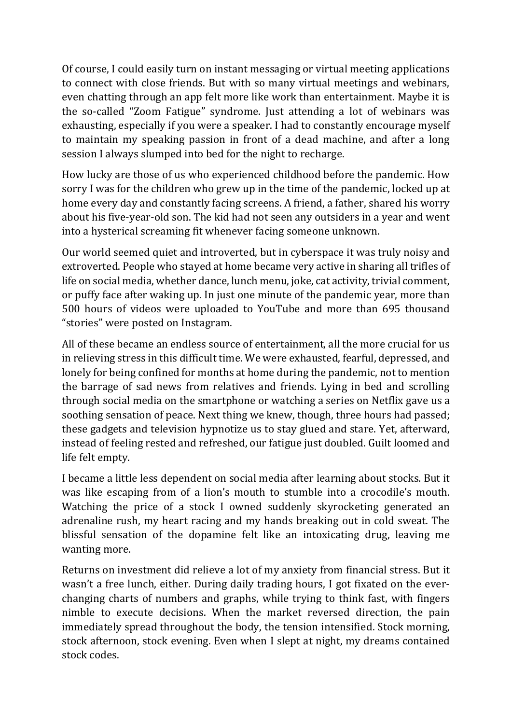Of course, I could easily turn on instant messaging or virtual meeting applications to connect with close friends. But with so many virtual meetings and webinars, even chatting through an app felt more like work than entertainment. Maybe it is the so-called "Zoom Fatigue" syndrome. Just attending a lot of webinars was exhausting, especially if you were a speaker. I had to constantly encourage myself to maintain my speaking passion in front of a dead machine, and after a long session I always slumped into bed for the night to recharge.

How lucky are those of us who experienced childhood before the pandemic. How sorry I was for the children who grew up in the time of the pandemic, locked up at home every day and constantly facing screens. A friend, a father, shared his worry about his five-year-old son. The kid had not seen any outsiders in a year and went into a hysterical screaming fit whenever facing someone unknown.

Our world seemed quiet and introverted, but in cyberspace it was truly noisy and extroverted. People who stayed at home became very active in sharing all trifles of life on social media, whether dance, lunch menu, joke, cat activity, trivial comment, or puffy face after waking up. In just one minute of the pandemic year, more than 500 hours of videos were uploaded to YouTube and more than 695 thousand "stories" were posted on Instagram.

All of these became an endless source of entertainment, all the more crucial for us in relieving stress in this difficult time. We were exhausted, fearful, depressed, and lonely for being confined for months at home during the pandemic, not to mention the barrage of sad news from relatives and friends. Lying in bed and scrolling through social media on the smartphone or watching a series on Netflix gave us a soothing sensation of peace. Next thing we knew, though, three hours had passed; these gadgets and television hypnotize us to stay glued and stare. Yet, afterward, instead of feeling rested and refreshed, our fatigue just doubled. Guilt loomed and life felt empty.

I became a little less dependent on social media after learning about stocks. But it was like escaping from of a lion's mouth to stumble into a crocodile's mouth. Watching the price of a stock I owned suddenly skyrocketing generated an adrenaline rush, my heart racing and my hands breaking out in cold sweat. The blissful sensation of the dopamine felt like an intoxicating drug, leaving me wanting more.

Returns on investment did relieve a lot of my anxiety from financial stress. But it wasn't a free lunch, either. During daily trading hours, I got fixated on the everchanging charts of numbers and graphs, while trying to think fast, with fingers nimble to execute decisions. When the market reversed direction, the pain immediately spread throughout the body, the tension intensified. Stock morning, stock afternoon, stock evening. Even when I slept at night, my dreams contained stock codes.